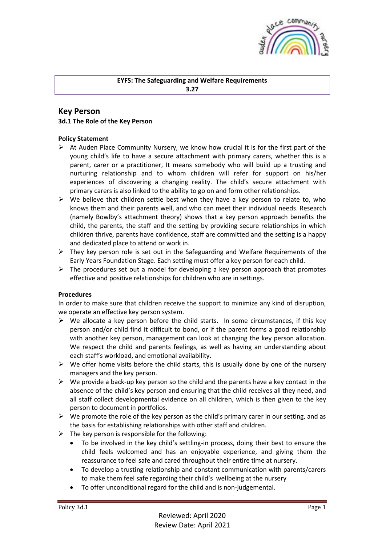

## **EYFS: The Safeguarding and Welfare Requirements**

**3.27**

## **Key Person 3d.1 The Role of the Key Person**

## **Policy Statement**

- $\triangleright$  At Auden Place Community Nursery, we know how crucial it is for the first part of the young child's life to have a secure attachment with primary carers, whether this is a parent, carer or a practitioner, It means somebody who will build up a trusting and nurturing relationship and to whom children will refer for support on his/her experiences of discovering a changing reality. The child's secure attachment with primary carers is also linked to the ability to go on and form other relationships.
- $\triangleright$  We believe that children settle best when they have a key person to relate to, who knows them and their parents well, and who can meet their individual needs. Research (namely Bowlby's attachment theory) shows that a key person approach benefits the child, the parents, the staff and the setting by providing secure relationships in which children thrive, parents have confidence, staff are committed and the setting is a happy and dedicated place to attend or work in.
- $\triangleright$  They key person role is set out in the Safeguarding and Welfare Requirements of the Early Years Foundation Stage. Each setting must offer a key person for each child.
- $\triangleright$  The procedures set out a model for developing a key person approach that promotes effective and positive relationships for children who are in settings.

## **Procedures**

In order to make sure that children receive the support to minimize any kind of disruption, we operate an effective key person system.

- $\triangleright$  We allocate a key person before the child starts. In some circumstances, if this key person and/or child find it difficult to bond, or if the parent forms a good relationship with another key person, management can look at changing the key person allocation. We respect the child and parents feelings, as well as having an understanding about each staff's workload, and emotional availability.
- $\triangleright$  We offer home visits before the child starts, this is usually done by one of the nursery managers and the key person.
- $\triangleright$  We provide a back-up key person so the child and the parents have a key contact in the absence of the child's key person and ensuring that the child receives all they need, and all staff collect developmental evidence on all children, which is then given to the key person to document in portfolios.
- $\triangleright$  We promote the role of the key person as the child's primary carer in our setting, and as the basis for establishing relationships with other staff and children.
- $\triangleright$  The key person is responsible for the following:
	- To be involved in the key child's settling-in process, doing their best to ensure the child feels welcomed and has an enjoyable experience, and giving them the reassurance to feel safe and cared throughout their entire time at nursery.
	- To develop a trusting relationship and constant communication with parents/carers to make them feel safe regarding their child's wellbeing at the nursery
	- To offer unconditional regard for the child and is non-judgemental.